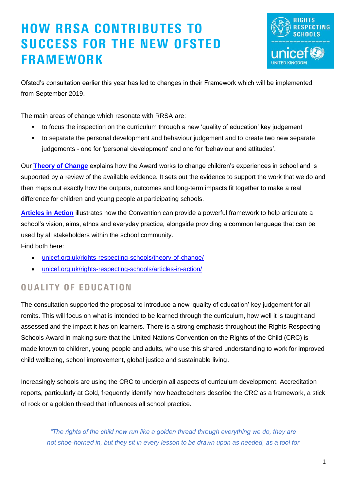# HOW RRSA CONTRIBUTES TO SUCCESS FOR THE NEW OFSTED FRAMEWORK



Ofsted's consultation earlier this year has led to changes in their Framework which will be implemented from September 2019.

The main areas of change which resonate with RRSA are:

- to focus the inspection on the curriculum through a new 'quality of education' key judgement
- to separate the personal development and behaviour judgement and to create two new separate judgements - one for 'personal development' and one for 'behaviour and attitudes'.

Our **[Theory of Change](https://www.unicef.org.uk/rights-respecting-schools/theory-of-change/)** explains how the Award works to change children's experiences in school and is supported by a review of the available evidence. It sets out the evidence to support the work that we do and then maps out exactly how the outputs, outcomes and long-term impacts fit together to make a real difference for children and young people at participating schools.

**[Articles in Action](https://www.unicef.org.uk/rights-respecting-schools/articles-in-action/)** illustrates how the Convention can provide a powerful framework to help articulate a school's vision, aims, ethos and everyday practice, alongside providing a common language that can be used by all stakeholders within the school community.

Find both here:

- [unicef.org.uk/rights-respecting-schools/theory-of-change/](https://www.unicef.org.uk/rights-respecting-schools/theory-of-change/)
- [unicef.org.uk/rights-respecting-schools/articles-in-action/](https://www.unicef.org.uk/rights-respecting-schools/articles-in-action/)

### QUALITY OF EDUCATION

The consultation supported the proposal to introduce a new 'quality of education' key judgement for all remits. This will focus on what is intended to be learned through the curriculum, how well it is taught and assessed and the impact it has on learners. There is a strong emphasis throughout the Rights Respecting Schools Award in making sure that the United Nations Convention on the Rights of the Child (CRC) is made known to children, young people and adults, who use this shared understanding to work for improved child wellbeing, school improvement, global justice and sustainable living.

Increasingly schools are using the CRC to underpin all aspects of curriculum development. Accreditation reports, particularly at Gold, frequently identify how headteachers describe the CRC as a framework, a stick of rock or a golden thread that influences all school practice.

*"The rights of the child now run like a golden thread through everything we do, they are not shoe-horned in, but they sit in every lesson to be drawn upon as needed, as a tool for*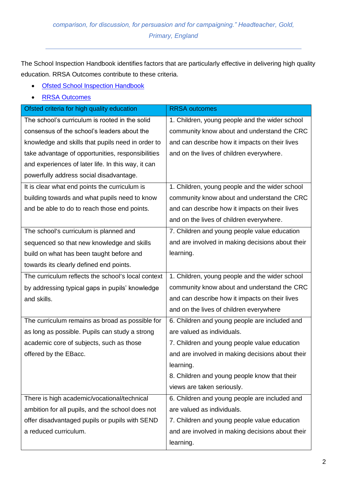The School Inspection Handbook identifies factors that are particularly effective in delivering high quality education. RRSA Outcomes contribute to these criteria.

- [Ofsted School Inspection Handbook](https://assets.publishing.service.gov.uk/government/uploads/system/uploads/attachment_data/file/828469/School_inspection_handbook_-_section_5.pdf)
- [RRSA Outcomes](https://www.unicef.org.uk/rights-respecting-schools/wp-content/uploads/sites/4/2015/06/RRSA-Strands-and-Outcomes-at-Silver-and-Gold.pdf)

| Ofsted criteria for high quality education         | <b>RRSA</b> outcomes                             |
|----------------------------------------------------|--------------------------------------------------|
| The school's curriculum is rooted in the solid     | 1. Children, young people and the wider school   |
| consensus of the school's leaders about the        | community know about and understand the CRC      |
| knowledge and skills that pupils need in order to  | and can describe how it impacts on their lives   |
| take advantage of opportunities, responsibilities  | and on the lives of children everywhere.         |
| and experiences of later life. In this way, it can |                                                  |
| powerfully address social disadvantage.            |                                                  |
| It is clear what end points the curriculum is      | 1. Children, young people and the wider school   |
| building towards and what pupils need to know      | community know about and understand the CRC      |
| and be able to do to reach those end points.       | and can describe how it impacts on their lives   |
|                                                    | and on the lives of children everywhere.         |
| The school's curriculum is planned and             | 7. Children and young people value education     |
| sequenced so that new knowledge and skills         | and are involved in making decisions about their |
| build on what has been taught before and           | learning.                                        |
| towards its clearly defined end points.            |                                                  |
| The curriculum reflects the school's local context | 1. Children, young people and the wider school   |
| by addressing typical gaps in pupils' knowledge    | community know about and understand the CRC      |
| and skills.                                        | and can describe how it impacts on their lives   |
|                                                    | and on the lives of children everywhere          |
| The curriculum remains as broad as possible for    | 6. Children and young people are included and    |
| as long as possible. Pupils can study a strong     | are valued as individuals.                       |
| academic core of subjects, such as those           | 7. Children and young people value education     |
| offered by the EBacc.                              | and are involved in making decisions about their |
|                                                    | learning.                                        |
|                                                    | 8. Children and young people know that their     |
|                                                    | views are taken seriously.                       |
| There is high academic/vocational/technical        | 6. Children and young people are included and    |
| ambition for all pupils, and the school does not   | are valued as individuals.                       |
| offer disadvantaged pupils or pupils with SEND     | 7. Children and young people value education     |
| a reduced curriculum.                              | and are involved in making decisions about their |
|                                                    | learning.                                        |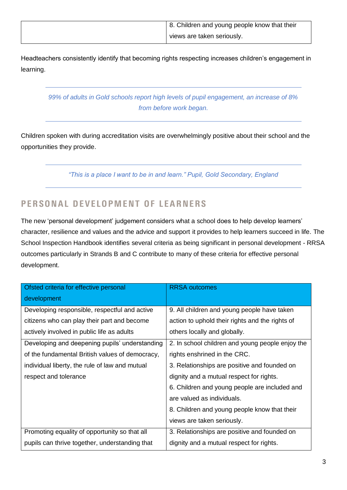| 8. Children and young people know that their |
|----------------------------------------------|
| views are taken seriously.                   |

Headteachers consistently identify that becoming rights respecting increases children's engagement in learning.

*99% of adults in Gold schools report high levels of pupil engagement, an increase of 8% from before work began.* 

Children spoken with during accreditation visits are overwhelmingly positive about their school and the opportunities they provide.

*"This is a place I want to be in and learn." Pupil, Gold Secondary, England*

### PERSONAL DEVELOPMENT OF LEARNERS

The new 'personal development' judgement considers what a school does to help develop learners' character, resilience and values and the advice and support it provides to help learners succeed in life. The School Inspection Handbook identifies several criteria as being significant in personal development - RRSA outcomes particularly in Strands B and C contribute to many of these criteria for effective personal development.

| Ofsted criteria for effective personal          | <b>RRSA</b> outcomes                             |
|-------------------------------------------------|--------------------------------------------------|
| development                                     |                                                  |
| Developing responsible, respectful and active   | 9. All children and young people have taken      |
| citizens who can play their part and become     | action to uphold their rights and the rights of  |
| actively involved in public life as adults      | others locally and globally.                     |
| Developing and deepening pupils' understanding  | 2. In school children and young people enjoy the |
| of the fundamental British values of democracy, | rights enshrined in the CRC.                     |
| individual liberty, the rule of law and mutual  | 3. Relationships are positive and founded on     |
| respect and tolerance                           | dignity and a mutual respect for rights.         |
|                                                 | 6. Children and young people are included and    |
|                                                 | are valued as individuals.                       |
|                                                 | 8. Children and young people know that their     |
|                                                 | views are taken seriously.                       |
| Promoting equality of opportunity so that all   | 3. Relationships are positive and founded on     |
| pupils can thrive together, understanding that  | dignity and a mutual respect for rights.         |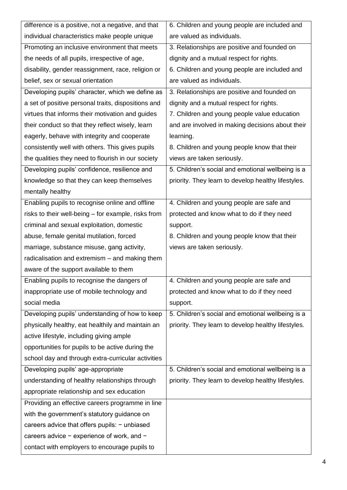| difference is a positive, not a negative, and that  | 6. Children and young people are included and       |
|-----------------------------------------------------|-----------------------------------------------------|
| individual characteristics make people unique       | are valued as individuals.                          |
| Promoting an inclusive environment that meets       | 3. Relationships are positive and founded on        |
| the needs of all pupils, irrespective of age,       | dignity and a mutual respect for rights.            |
| disability, gender reassignment, race, religion or  | 6. Children and young people are included and       |
| belief, sex or sexual orientation                   | are valued as individuals.                          |
| Developing pupils' character, which we define as    | 3. Relationships are positive and founded on        |
| a set of positive personal traits, dispositions and | dignity and a mutual respect for rights.            |
| virtues that informs their motivation and guides    | 7. Children and young people value education        |
| their conduct so that they reflect wisely, learn    | and are involved in making decisions about their    |
| eagerly, behave with integrity and cooperate        | learning.                                           |
| consistently well with others. This gives pupils    | 8. Children and young people know that their        |
| the qualities they need to flourish in our society  | views are taken seriously.                          |
| Developing pupils' confidence, resilience and       | 5. Children's social and emotional wellbeing is a   |
| knowledge so that they can keep themselves          | priority. They learn to develop healthy lifestyles. |
| mentally healthy                                    |                                                     |
| Enabling pupils to recognise online and offline     | 4. Children and young people are safe and           |
| risks to their well-being – for example, risks from | protected and know what to do if they need          |
| criminal and sexual exploitation, domestic          | support.                                            |
| abuse, female genital mutilation, forced            | 8. Children and young people know that their        |
| marriage, substance misuse, gang activity,          | views are taken seriously.                          |
| radicalisation and extremism - and making them      |                                                     |
| aware of the support available to them              |                                                     |
| Enabling pupils to recognise the dangers of         | 4. Children and young people are safe and           |
| inappropriate use of mobile technology and          | protected and know what to do if they need          |
| social media                                        | support.                                            |
| Developing pupils' understanding of how to keep     | 5. Children's social and emotional wellbeing is a   |
| physically healthy, eat healthily and maintain an   | priority. They learn to develop healthy lifestyles. |
| active lifestyle, including giving ample            |                                                     |
| opportunities for pupils to be active during the    |                                                     |
| school day and through extra-curricular activities  |                                                     |
| Developing pupils' age-appropriate                  | 5. Children's social and emotional wellbeing is a   |
| understanding of healthy relationships through      | priority. They learn to develop healthy lifestyles. |
| appropriate relationship and sex education          |                                                     |
| Providing an effective careers programme in line    |                                                     |
| with the government's statutory guidance on         |                                                     |
| careers advice that offers pupils: - unbiased       |                                                     |
| careers advice $-$ experience of work, and $-$      |                                                     |
| contact with employers to encourage pupils to       |                                                     |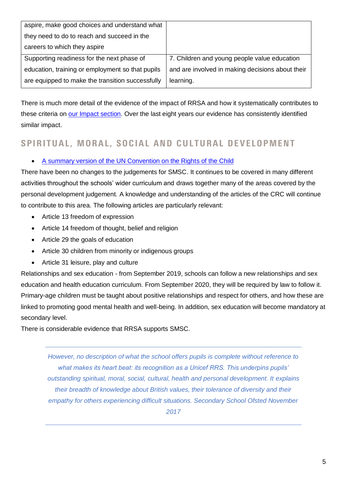| aspire, make good choices and understand what    |                                                  |
|--------------------------------------------------|--------------------------------------------------|
| they need to do to reach and succeed in the      |                                                  |
| careers to which they aspire                     |                                                  |
| Supporting readiness for the next phase of       | 7. Children and young people value education     |
| education, training or employment so that pupils | and are involved in making decisions about their |
| are equipped to make the transition successfully | learning.                                        |

There is much more detail of the evidence of the impact of RRSA and how it systematically contributes to these criteria on [our Impact section.](file:///C:/Users/SamanthaB/AppData/Local/Microsoft/Windows/INetCache/Content.Outlook/GBKMDWAW/on%20https:/www.unicef.org.uk/rights-respecting-schools/the-rrsa/impact-of-rrsa/) Over the last eight years our evidence has consistently identified similar impact.

#### SPIRITUAL, MORAL, SOCIAL AND CULTURAL DEVELOPMENT

#### • [A summary version of the UN Convention on the Rights of the Child](https://downloads.unicef.org.uk/wp-content/uploads/2010/05/UNCRC_summary-1.pdf?_ga=2.65848366.1460854500.1570540515-2018185439.1549880367)

There have been no changes to the judgements for SMSC. It continues to be covered in many different activities throughout the schools' wider curriculum and draws together many of the areas covered by the personal development judgement. A knowledge and understanding of the articles of the CRC will continue to contribute to this area. The following articles are particularly relevant:

- Article 13 freedom of expression
- Article 14 freedom of thought, belief and religion
- Article 29 the goals of education
- Article 30 children from minority or indigenous groups
- Article 31 leisure, play and culture

Relationships and sex education - from September 2019, schools can follow a new relationships and sex education and health education curriculum. From September 2020, they will be required by law to follow it. Primary-age children must be taught about positive relationships and respect for others, and how these are linked to promoting good mental health and well-being. In addition, sex education will become mandatory at secondary level.

There is considerable evidence that RRSA supports SMSC.

*However, no description of what the school offers pupils is complete without reference to what makes its heart beat: its recognition as a Unicef RRS. This underpins pupils' outstanding spiritual, moral, social, cultural, health and personal development. It explains their breadth of knowledge about British values, their tolerance of diversity and their empathy for others experiencing difficult situations. Secondary School Ofsted November* 

*2017*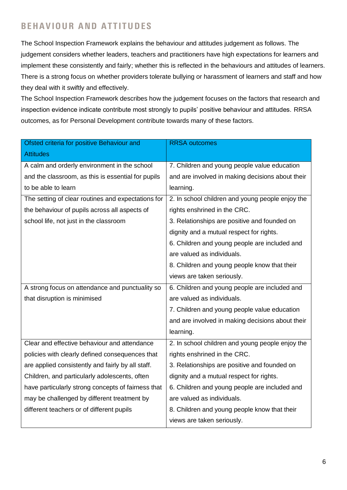## BEHAVIOUR AND ATTITUDES

The School Inspection Framework explains the behaviour and attitudes judgement as follows. The judgement considers whether leaders, teachers and practitioners have high expectations for learners and implement these consistently and fairly; whether this is reflected in the behaviours and attitudes of learners. There is a strong focus on whether providers tolerate bullying or harassment of learners and staff and how they deal with it swiftly and effectively.

The School Inspection Framework describes how the judgement focuses on the factors that research and inspection evidence indicate contribute most strongly to pupils' positive behaviour and attitudes. RRSA outcomes, as for Personal Development contribute towards many of these factors.

| Ofsted criteria for positive Behaviour and         | <b>RRSA</b> outcomes                             |
|----------------------------------------------------|--------------------------------------------------|
| <b>Attitudes</b>                                   |                                                  |
| A calm and orderly environment in the school       | 7. Children and young people value education     |
| and the classroom, as this is essential for pupils | and are involved in making decisions about their |
| to be able to learn                                | learning.                                        |
| The setting of clear routines and expectations for | 2. In school children and young people enjoy the |
| the behaviour of pupils across all aspects of      | rights enshrined in the CRC.                     |
| school life, not just in the classroom             | 3. Relationships are positive and founded on     |
|                                                    | dignity and a mutual respect for rights.         |
|                                                    | 6. Children and young people are included and    |
|                                                    | are valued as individuals.                       |
|                                                    | 8. Children and young people know that their     |
|                                                    | views are taken seriously.                       |
| A strong focus on attendance and punctuality so    | 6. Children and young people are included and    |
| that disruption is minimised                       | are valued as individuals.                       |
|                                                    | 7. Children and young people value education     |
|                                                    | and are involved in making decisions about their |
|                                                    | learning.                                        |
| Clear and effective behaviour and attendance       | 2. In school children and young people enjoy the |
| policies with clearly defined consequences that    | rights enshrined in the CRC.                     |
| are applied consistently and fairly by all staff.  | 3. Relationships are positive and founded on     |
| Children, and particularly adolescents, often      | dignity and a mutual respect for rights.         |
| have particularly strong concepts of fairness that | 6. Children and young people are included and    |
| may be challenged by different treatment by        | are valued as individuals.                       |
| different teachers or of different pupils          | 8. Children and young people know that their     |
|                                                    | views are taken seriously.                       |